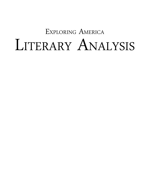# Exploring America LITERARY ANALYSIS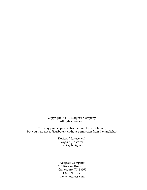Copyright © 2014 Notgrass Company. All rights reserved.

You may print copies of this material for your family, but you may not redistribute it without permission from the publisher.

> Designed for use with *Exploring America* by Ray Notgrass

> Notgrass Company 975 Roaring River Rd. Gainesboro, TN 38562 1-800-211-8793 www.notgrass.com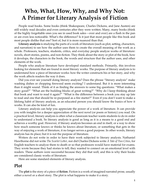### **Who, What, How, Why, and Why Not: A Primer for Literary Analysis of Fiction**

People read books. Some books (think Shakespeare, Charles Dickens, and Jane Austen) are still widely read decades and even centuries after they were written. Many, many books (think of the highly forgettable ones you see in used book sales*—*over and over) are a flash in the pan or are even less noticeable. What's the difference? Is it just that most people like this book and most people dislike that one? Sort of, but it is more nuanced than that.

**Literary analysis** is studying the parts of a work of literature (such as plot, setting, characters, and narration) to see how the author uses them to create the overall meaning of the work as a whole. Professors, teachers, students, critics, and everyday people analyze works of literature: novels, short stories, poems, and non-fiction. They think about the story or plot of the book, how it develops, the characters in the book, the words and structure that the author uses, and other elements of the work.

People who analyze literature have developed standard methods. Primarily, this involves looking for elements that are found in most literary works. The purpose of literary analysis is to understand how a piece of literature works: how the writer constructs his or her story, and why the work affects readers the way it does.

Did you ever see yourself doing literary analysis? Does the phrase "literary analysis" make washing dishes or chopping firewood seem exciting? I understand. But it is more interesting than it might sound. Think of it as finding the answers to some big questions: "What makes a story good?" "What are the building blocks of great writing?" "Why do I keep thinking about that book and want to read it again?" "What is the difference between a book you stay up late to read and one that should be re-purposed as a fire starter?" Even if you don't want to make a lifelong habit of literary analysis, as an educated person you should know the basics of how it works. It can also be kind of fun.

Literary analysis can help you appreciate the power of a work of literature. It can provide you with insights for a deeper appreciation of the next novel (or poem or history) you read. On a practical level, literary analysis is often what a classroom teacher wants students to do in order to understand a book. So literary analysis is good as long as it is a means to a good end and achieves a worthy goal. However, if literary analysis becomes an end in itself, or a way to show how much someone knows or thinks he knows about literature, or something that gets in the way of enjoying a work of literature, it no longer serves a good purpose. In other words, literary analysis has its place; but it is not the purpose of literature.

Writers do not write in order to have their work subjected to literary analysis. Nathaniel Hawthorne did not write *The Scarlet Letter*, nor did Charles Dickens write *A Tale of Two Cities*, for English teachers to analyze them to death or so that professors would have material for exams. They wrote because they had stories to tell; they wanted to connect on an emotional level with readers. These authors were successful because they did that well, and this is why their books are considered classic works of literature.

Here are some standard elements of literary analysis.

### **Plot**

The **plot** is the story of a piece of **fiction**. Fiction is a work of imagined narrated prose, usually either a novel or a short story. The plot is what happens to make it a story.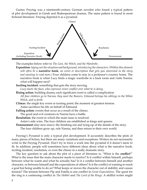Gustav Freytag was a nineteenth-century German novelist who found a typical pattern of plot development in Greek and Shakespearean dramas. The same pattern is found in most fictional literature. Freytag depicted it as a pyramid.



The examples below refer to *The Lion, the Witch, and the Wardrobe*.

- **Exposition***: laying out the situation and background, introducing the characters. (Within this element will often be a* **narrative hook***, an event or description that gets you interested in the story and wanting to read more.)* Four children come to stay in a professor's country home. The narrative hook is when Lucy finds a magic wardrobe in a back room and visits Narnia: what will happen next?
- **Inciting incident***:* something that gets the story moving.

*Lucy meets the faun, who expresses inner conflict over what he is doing.*

**Rising action**: building drama; each significant event is called a complication. *All four children go to Narnia, they meet the Beavers, Edmund betrays his siblings to the White Witch, and so forth.*

**Climax**: the single key event or turning point; the moment of greatest tension. Aslan sacrifices his life on behalf of Edmund.

**Falling action**: events that occur as a result of the climax. The good and evil creatures in Narnia have a battle.

**Resolution**: the event in which the main issue is resolved.

Aslan's side wins. The four children are established as kings and queens.

**Denouement** (day-new-maw): the finishing out and tying up of the details of the story.

The four children grow up, rule Narnia, and then return to their own world.

Freytag's Pyramid is only a typical plot development. It accurately describes the plots of many pieces of fiction, but there are many variations and exceptions. Writers do not necessarily write to the Freytag Pyramid. Don't try to force a work into the pyramid if it doesn't seem to fit. In addition, people will sometimes have different ideas about what is the narrative hook, inciting incident, resolution, or even the climax in a really dramatic story.

The key question to ask about the plot of a piece of literature is, "What is the **conflict**?" What is the issue that the main character needs to resolve? Is it conflict within himself, perhaps between what he wants and what he actually has? Is it a conflict between himself and another character, or between himself and the expectations of others? Is it the conflict of wanting to reach a goal but being unable to do so? What keeps or moves the character out of stability and causes tension? The tension between Pip and Estella is one conflict in *Great Expectations*. The quest for the ring is a continuing conflict in *The Hobbit* and *The Lord of the Rings*. A skillful writer might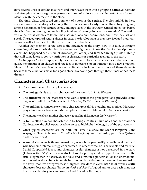have several lines of conflict in a work and interweave them into a gripping **narrative**. Conflict and struggle are how we grow as persons, so the conflict in a story is an important way for us to identify with the characters in the story.

The time, place, and social environment of a story is the **setting**. The plot unfolds in these surroundings. Is the story set among the working class of early ninteenth-century England, among fishermen of first-century Israel, among slaves in the southern United States just before the Civil War, or among homeschooling families of twenty-first century America? The setting will affect what characters know, their assumptions and aspirations, and how they act and speak. The geographical setting always impacts the development of the story: isolated mountain villagers will act and speak differently from urban dwellers.

Another key element of the plot is the **structure** of the story, how it is told. A straight **chronological narrative** is simplest, but an author might want to use **flashbacks** (descriptions of events that happened earlier, out of chronological order) and **foreshadowings** (hints at things that will come later) to convey attributes of characters or particular feelings to the story.

**Archetypes** (ARK-eh-types) are typical or standard plot elements, such as a character on a quest, the pursuit of an elusive goal, the loss of innocence, or an initiation into a new situation. Many of America's most famous works of literature include one or more of these elements because these situations make for a good story. Everyone goes through these times or has these dreams.

### **Characters and Characterization**

- The **characters** are the people in a story.
- The **protagonist** is the main character of the story (Jo in *Little Women*).
- The **antagonist** is the character who works against the protagonist and provides some degree of conflict (the White Witch in *The Lion, the Witch, and the Wardrobe*).
- The **confidant** is someone to whom a character reveals his thoughts and motives (Margaret plays this role for Bessy and Mr. Bell plays this role for Margaret in *North and South*).
- The mentor teaches another character about life (Marmee in *Little Women*).
- A **foil** is often a minor character who by being a contrast illuminates another character (for instance, the slick operator who serves to highlight the integrity of the protagonist).
- Other typical characters are the **hero** (Sir Percy Blakeney, the Scarlet Pimpernel), the **scapegoat** (Tom Robinson in *To Kill a Mockingbird*), and the **buddy pair** (Don Quixote and Sancho Panza).
- A **round character** is three-dimensional, one whose personality is well-developed and who has some internal struggles expressed. In other words, he is believable and realistic. David Copperfield is a round character. A **flat character** is not developed in the story (Jethro in *The Cat of Bubastes*). A **stock character** portrays a stereotypical role, such as the cruel stepmother in *Cinderella*, the slow and dimwitted policeman, or the unemotional accountant. A stock character might be round or flat. A **dynamic character** changes during the story (matures or regresses, as Margaret Hale does in *North and South*), while a **static character** does not change (Fanny in *North and South*). A good author uses each character to advance the story in some way, not just to clutter the pages.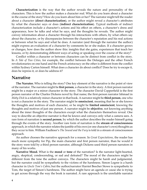**Characterization** is the way that the author reveals the nature and personality of the characters. This is how the author makes a character real. What do you learn about a character in the course of the story? How do you learn about him or her? The narrator might tell the reader about a character (**direct characterization**), or the author might reveal a character's attributes by what the character says or does (**indirect characterization**). Typical methods of indirect characterization include a character's actions and his effect on others, a character's dress and appearance, how he talks and what he says, and the thoughts he reveals. The author might convey information about a character through his interactions with others, by what others say about the character, or by discrepancies between the character's reputation and his real actions or between what he says and what he does. A narrator (and through the narrator the author) might express an evaluation of a character by comments he or she makes. If a character grows or changes, how does the author show this: insights that she gains, experiences that teach her lessons, or by demonstrating different ways of acting or speaking over the course of the story?

Conflict within a character or between characters can be distinct from conflict in the story. In *A Tale of Two Cities*, for example, the conflict between the Defarges and the other French revolutionaries on one hand and the French aristocracy on the other is different from the conflict within Sydney Carton himself. What does a character do about conflict? Does he try to escape it, does he repress it, or does he address it?

### **Narrative**

**The Narrator.** Who is telling the story? One key element of the narrative is the point of view of the narrator. The narrator might be **first person**, a character in the story. A first person narrator might be a major or a minor character in the story. The character David Copperfield is the first person narrator of the Charles Dickens novel by that name; the first-person narrator Ishmael in *Moby Dick* is a relatively minor character in that book. A narrator might be **third person**, one who is not a character in the story. The narrator might be **omniscient**, meaning that he or she knows the thoughts and motives of each character, or he might be **limited omniscient**, knowing the thoughts and motives of just one person. A narrator might be **objective**, not knowing anything about the inner thoughts of the characters except what the characters themselves reveal. One way to describe an objective narrator is that he knows and conveys only what a camera sees. A rare form of narration is **second person**, by which the author describes the reader himself going through the events of the story. Another rare form of narration is the **stream of consciousness** approach, in which the narrator relates the jumble of his own (or one character's own) thoughts as they occur to him. William Faulkner's *The Sound and the Fury* is told in a stream of consciousness approach.

An author chooses the narrative approach for a reason. In *Great Expectations*, the reader has much more sympathy for Pip, the main character and first person narrator, than he would if the story were told by a third person narrator, although Dickens used third person narrators in many of his works.

**Narrative Mood.** What is the **mood** or **tone** of the narration? Is the narrator light-hearted, angry, skeptical, condescending, or sad and defeated? The mood of the characters might be different from the tone the author conveys. The characters might be harsh and judgmental, but the narrator could be sympathetic to the victims of the harshness. Simon Legree is a harsh character in *Uncle Tom's Cabin*; but the author/narrator Harriet Beecher Stowe is sympathetic to Tom, the target of Simon's harshness. The author might have an agenda or cause she is trying to get across through the way the book is narrated. A rare approach is the unreliable narrator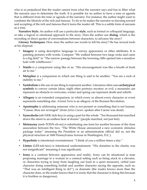who is so prejudiced that the reader cannot trust what the narrator says and has to filter what the narrator says to determine the truth. It is possible for an author to have a tone or agenda that is different from the tone or agenda of the narrator. For instance, the author might want to condemn the lifestyle of the rich and famous. To do so he makes the narrator so fawning toward and accepting of the rich and famous that it turns the reader off. This is a subtle form of sarcasm as a tone.

**Narrative Style.** An author will use a particular **style**, such as formal or colloquial language, or take a logical or emotional approach to the story. Does the author use **dialog**, which is the recording of direct quotes of conversations between characters, to advance the story?

**Literary Techniques.** How does the author use words to tell his story? He has several tools at his disposal.

- **• Imagery** is using descriptive language to convey appearance or other attributes. It is painting pictures with words. Compare "We walked between two large rocks and came to a big field" to "The narrow passage between the towering cliffs opened into a meadow lush with wildflowers."
- **• Simile** is a comparison using like or as. "His encouragement was like a breath of fresh air to me."
- **• Metaphor** is a comparison in which one thing is said to be another. "You are a rock of stability to me."
- **• Symbolism** is the use of one thing to represent another. Literature often uses **archetypical symbols** to convey certain ideas: night often portrays mystery or evil; a mountain can represent an obstacle to overcome; winter and spring can represent death and rebirth.
- **• Allegory** is an extended comparison, in which every or almost every character or event represents something else. *Animal Farm* is an allegory of the Russian Revolution.
- **• Apostrophe** is addressing someone who is not present or something that is not human. "Caesar, thou are revenged" (from *Julius Caesar*, spoken after Caesar was dead).
- **• Synecdoche** (sih-NEK-doh-key) is using a part for the whole. "Ten thousand feet marched down the street to an endless beat of drums" (people marched, not just feet).
- **• Metonymy** (meh-TONN-eh-mi) is substituting one term for another because of the close association between the two. "The White House announced a new economic stimulus package today" (meaning the President or an administration official did so, not the physical structure at 1600 Pennsylvania Avenue in Washington, D.C.).
- **• Hyperbole** is intentional overstatement. "I think of you a million times a day."
- **• Litotes** (LIH-tuh-teez) is intentional understatement. "His donation to the charity was not insignificant" (meaning it was significant).
- **Irony** is a contrast between appearance and reality. Irony can be situational (a man proposing marriage to a woman in a comical setting such as being stuck in a elevator, or characters trying to keep from laughing out loud in a quiet museum), verbal (one character doing something foolish and another character saying the opposite, such as, "That was an intelligent thing to do!"), or dramatic (the reader knows more than the character does, so the reader knows that it is ironic that the character is doing this because it is fruitless or dangerous).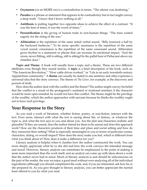- **•• Oxymoron** (ox-ee-MORE-on) is a contradiction in terms. "The silence was deafening."
- **• Paradox** is a phrase or statement that appears to be contradictory but in fact might convey a deep truth. "I know that I know nothing at all."
- **• Antithesis** is putting together two opposite ideas to achieve the effect of a contrast. "It was the best of times, it was the worst of times."
- **• Personification** is the giving of human traits to non-human things. "The trees waited eagerly for the rising of the sun."
- **• Alliteration** is the repetition of the same initial verbal sound. "Billy bounced a ball by the backyard barbecue." To be more specific: assonance is the repetition of the same vowel sound; consonance is the repetition of the same consonant sound. Alliteration gives rhythm to a statement or phrase that can increase its emotional impact. "And the raven, never flitting, still is sitting, still is sitting/On the pallid bust of Pallas just above my chamber door."

**Topic and Theme**. A book will usually have a topic and a theme. These are two different attributes even though they sound similar. A **topic** is a brief description of the book, such as, "The American Revolution," "How cattle drives worked," or "Life in an early twentieth-century Appalachian community." A **theme** can usually be stated in one sentence and often expresses a universal idea that the story conveys. The theme of *The Giver*, for example, is the discovery and pursuit of truth.

How does the author deal with the conflict and the theme? The author might convey his belief that the conflict is a result of the protagonist's outdated or irrational mindset; if the character would be more open-minded, he would not have this conflict. The theme might be the privilege of the wealthy, which the author approaches with sarcasm because he thinks the wealthy ought not to have such privilege.

### **Your Response to the Story**

As you read a work of literature, whether fiction, poetry, or non-fiction, interact with the text. Even more, interact with what the text is saying about life, or history, or whatever the topic is, and what the text says to you and about you. Are the plot and characters realistic and plausible? If they are unreal, does the author intend for them to be unreal and does this approach work? How are the characters products of their time and place and social setting and how do they transcend their setting? What is especially meaningful to you in terms of particular scenes, characters, dialog, or overall impact? How does the story make you feel, which is different from what you think about it? How does it make a difference for you?

Literary analysis is helpful when it clarifies how the author constructed the work. You can more deeply appreciate what he or she did and how the work conveys the intended message and mood. However, literary analysis can sometimes be emphasized to the point of making it seem more important than the work itself; and an analyst can come up with ideas about a work that the author never had in mind. Much of literary analysis is and should be subconscious on the part of the reader, the way we enjoy a good meal without over-analyzing all of the individual ingredients (although you should compliment the cook, and, if you are interested, ask how he or she prepared it). As you give thought to literary analysis, you can better appreciate the mental feast offered to you by what you read.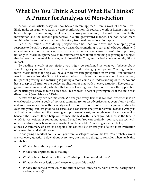# **What Do You Think About What He Thinks? A Primer for Analysis of Non-Fiction**

A non-fiction article, essay, or book has a different approach from a work of fiction. It will likely make an argument, teach, or convey information. Of course, a work of fiction might also be an attempt to make an argument, teach, or convey information; but non-fiction presents the information and the author's perspective in a straightforward manner. The non-fiction piece might be in the form of a story; but it is a story from real life, as in a biography.

Part of education is considering perspectives other than your own and developing your response to them. In a persuasive work, a writer has something to say that he hopes others will at least consider and perhaps agree with. Even the author of a biography writes for a purpose, not only to inform but perhaps also to convince readers about something regarding his subject: that he was instrumental in a war, or influential in Congress, or had some other significant impact.

By reading a work of non-fiction, you might be confirmed in what you believe about something or you might be convinced that you need to change your opinion. You might obtain more information that helps you have a more realistic perspective on an issue. You shouldn't fear this process. You don't want to cast aside basic truth and fall for every new idea you hear, but part of growing and maturing is gaining a more complete understanding of truth. No one has a grasp of all truth or the perfect application of that truth in every situation. Everyone can grow in some areas of life, whether that means learning more truth or learning the application of the truth you know to more situations. This process is part of growing in what the Bible calls discernment (see Hebrews 5:13-14).

A text can be any written material. We analyze every text that we read, whether it is an encyclopedia article, a book of political commentary, or an advertisement, even if only briefly and subconsciously. As with the analysis of fiction, we don't want to lose the joy of reading by over-analyzing, but it is good to do serious and conscious analysis for several reasons. Analysis will help you understand the meaning and purpose of a text; you might even discern a meaning beneath the surface. It can help you connect the text with its background, such as the time in which it was written or something about the author. You can profitably compare the text with other texts to see which are more consistent and believable. Analyzing a text can help you prove a thesis. A summary of a text is a report of its content, but an analysis of a text is an evaluation of its meaning and significance.

In analyzing a work of non-fiction, you want to ask questions of the text. You probably won't answer every question below about every text, but here are things to consider when analyzing non-fiction:

- What is the author's point or purpose?
- What is the argument he is making?
- What is the motivation for the piece? What problem does it address?
- What evidence or logic does he use to support his thesis?
- What is the context from which the author writes (time, place, point of view, background and experience)?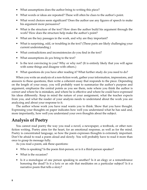- What assumptions does the author bring to writing this piece?
- What words or ideas are repeated? These will often be clues to the author's point.
- What word choices seem significant? Does the author use any figures of speech to make his argument more persuasive?
- What is the structure of the text? How does the author build his argument through the work? How does the structure help make the author's point?
- What are the key passages in the work, and why are they important?
- What is surprising, odd, or troubling in the text? (These parts are likely challenging your current understanding.)
- What contradictions and inconsistencies do you find in the text?
- What assumptions do *you* bring to the text?
- Is the text convincing to you? Why or why not? (It is entirely likely that you will agree with some things and disagree with others.)
- What questions do you have after reading it? What further study do you need to do?

When you write an analysis of a non-fiction work, gather your information, impressions, and answers to these questions, then write a coherent essay that responds to the piece. Depending on the length of your essay, you will probably want to summarize the author's purpose and argument, emphasize the central points as you see them, note where you think the author is correct and where he is mistaken, and where he is effective and where he could have expressed his ideas differently. Keep in mind the nature of your assignment, what the teacher expects from you, and what the reader of your analysis needs to understand about the work you are analyzing and about your response to it.

The author whose work you have read wants you to think. Show that you have thought. Expressing your thoughts on paper indicates how well you understand what he has said and, more importantly, how well you understand your own thoughts about the subject.

### **Analysis of Poetry**

You cannot read poetry the way you read a novel, a newspaper, a textbook, or other nonfiction writing. Poetry aims for the heart, for an emotional response, as well as for the mind. Poetry is concentrated language, so how the poem expresses thoughts is extremely important. Don't be afraid to read a poem aloud and slowly. You will probably have to read it more than once to grasp its message fully.

As you read a poem, ask these questions:

- Who is speaking? Is the poem first-person, or is it a third-person speaker?
- What is the occasion?
- Is it a monologue of one person speaking to another? Is it an elegy or a remembrance honoring the dead? Is it a lyric or an ode that meditates on a particular subject? Is it a narrative poem that tells a story?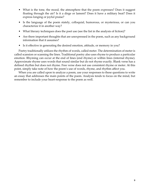- What is the tone, the mood, the atmosphere that the poem expresses? Does it suggest floating through the air? Is it a dirge or lament? Does it have a military beat? Does it express longing or joyful praise?
- Is the language of the poem stately, colloquial, humorous, or mysterious, or can you characterize it in another way?
- What literary techniques does the poet use (see the list in the analysis of fiction)?
- Are there important thoughts that are unexpressed in the poem, such as any background information that it assumes?
- Is it effective in generating the desired emotion, attitude, or memory in you?

Poetry traditionally utilizes the rhythm of words, called meter. The determination of meter is called scansion or scanning the lines. Traditional poetry also uses rhyme to produce a particular emotion. Rhyming can occur at the end of lines (end rhyme) or within lines (internal rhyme). Approximate rhyme uses words that sound similar but do not rhyme exactly. Blank verse has a defined rhythm but does not rhyme. Free verse does not use consistent rhyme or meter. At this point, simply take note of how the poem's use of words, rhyme, and rhythm affect you.

When you are called upon to analyze a poem, use your responses to these questions to write an essay that addresses the main points of the poem. Analysis tends to focus on the mind, but remember to include your heart-response to the poem as well.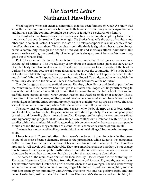### *The Scarlet Letter* **Nathaniel Hawthorne**

What happens when sin enters a community that has been founded on God? We know that sin will enter a community, even one based on faith, because a community is made up of humans and humans sin. The community might be a town, or it might be a church or a family.

The result of sin is always widespread and devastating. Even though people try to hide their motives and actions, the truth will come to light. *The Scarlet Letter* tells the story of adultery and other sins in colonial Boston. The novel focuses on the relationships of four main characters and the effect that sin has on them. This emphasis on individuals is significant because sin always enters a community through the actions of individuals and it always affects individuals. But even in such a setting, the possibility of redemption is always present because God can bring good out of what is bad.

**Plot.** The story of *The Scarlet Letter* is told by an omniscient third person narrator in a chronological narrative. The introductory essay about the custom house gives the story an air of authenticity but also creates a sense of sadness. The mood or tone throughout the book is dark and mysterious because of the great secret hanging over the community: Who is the father of Hester's child? Other questions add to the somber tone: What will happen between Hester and Arthur? What will happen between Arthur and Roger? The judgmental way in which the community deals with the sin of adultery increases the heaviness of the narrative.

The plot hangs on the three scaffold scenes. The first, when Hester and Pearl appear before the community, is the narrative hook that grabs our attention. Roger Chillingworth coming to live with the minister is the inciting incident that increases the conflict in the book. The second scaffold scene occurs at night, when Arthur, Hester, and Pearl assemble on it together. This is the climax of the book, conveying the greatest tension because what should have taken place in the daylight before the entire community only happens at night with no one else there. The final scaffold scene is the resolution, when Arthur confesses his adultery and dies.

The many lines of conflict are an important reason why the book grips us as it does. Arthur and Hester love each other, but they cannot or will not admit it publicly. The common perception of Arthur and the reality about him are in conflict. The supposedly righteous community is filled with hypocrisy and judgmental attitudes. Roger is in conflict with Hester and with Arthur. The conflict within the minister himself is agonizing. We perceive conflict between the way people should act and the way they actually act, a conflict that characterizes much of human life.

The topic is a woman and her illegitimate child in a colonial village. The theme is the response to sin.

**Characters and Characterization.** Hawthorne's portrayal of the characters in the novel is one of its most effective elements. Hester is the protagonist, while Roger is the antagonist. Arthur is caught in the middle because of his sin and his refusal to confess it. The characters are round, well-developed, and believable. They are somewhat static in that they do not change much during the story, except that Arthur does eventually confess his sin. We come to know the characters by what they do and say, but also by what the narrator says about them.

The names of the main characters reflect their identity. Hester Prynne is the central figure. The name Hester is a form of Esther, from the Persian word for star. Prynne rhymes with sin. The narrator notes that Hester had a wild streak when she was younger. She had done wrong earlier in life by marrying another character, Roger Chillingworth, without loving him; and she hurt him again by her immorality with Arthur. Everyone who sins has positive traits, and vice versa. Hester has positive traits. She bore Arthur Dimmesdale's shame as well as his child, for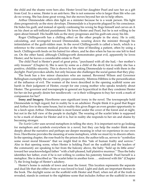the child and the shame were hers also. Hester loved her daughter Pearl and saw her as a gift from God. In a sense, Hester is an anti-hero. She is not someone who is larger than life who can do no wrong. She has done great wrong, but she moves beyond her sin to help others.

Arthur Dimmesdale offers dim light as a minister because he is a weak person. His light dims progressively as the story develops. Dimmesdale is a hypocrite plagued by his conscience. He hides his guilt, and instead of openly confessing his wrong he flogs himself and carves an A on his chest as self-inflicted punishment. He loves Hester and Pearl, but he is not willing to be open about himself. His health fails as the story progresses and his guilt eats away his life.

Roger Chillingworth has a chilling effect on the other people in the story. He is cold, calculating, and revengeful toward Dimmesdale, wearing down the minister through his intimidation of the guilt-ridden man. In the novel Chillingworth is called a leech, which is a reference to the common medical practice at the time of bleeding a patient, often by using a leech. Chillingworth feeds on his hatred for others, and he dies when he has no one left to feed on. On the other hand, although Chillingworth demonstrates great evil, apparently he loves Hester; and he leaves a considerable estate to Pearl.

The child Pearl is Hester's pearl of great price, "purchased with all she had,*—*her mother's only treasure" (Chapter 6). She is seen by some as a child of the devil; but in reality she has a positive, childlike sincerity. This is shown by her asking Dimmesdale to stand with them in the daylight. Pearl provokes adults, but only because she challenges the social games that they play.

The book has a few minor characters who are named. Reverend Wilson and Governor Bellingham exemplify the outwardly proper community. Mistress Hibbins is the personification of the influence of evil. The women of the town described in the opening scaffold scene are harsh in their judgment of Hester, except for one young mother who speaks tenderly about Hester. The governor and townspeople in general are hypocritical in that they condemn Hester for her sin but greatly desire her needlework*—*or is their willingness to buy her work a mark of compassion for her?

**Irony and Imagery.** Hawthorne uses significant irony in the novel. The townspeople hold Dimmesdale in high regard, but in reality he is an adulterer. People think it is good that Roger and Arthur live in the same house, but in reality this gives Roger an even greater opportunity to be a leech upon Arthur. Dimmesdale is most honest under the cover of the forest and at night, but not in the full view of the people in daylight. The wearing of the scarlet letter is supposed to be a mark of shame for Hester and it is, but in reality she responds to her sin and shame by becoming stronger.

*The Scarlet Letter* uses several metaphors in telling the story. It is important not to go looking for metaphors and symbols everywhere in a novel, but they can help the reader think more deeply about the narrative and perhaps see deeper meaning in what we experience in our own lives. Hawthorne provides the meaning of some metaphors, while we must try to discern others. In the opening chapter, the rose-bush by the prison door, the author tells us, serves to "symbolize some sweet moral blossom" that we might find in this "tale of human frailty and sorrow." Also in that opening scene, when Hester is holding Pearl on the scaffold and the leaders of the community are speaking to her from the balcony above, the baby "held up its little arms" toward her unacknowledged father "with a half-pleased, half plaintive murmur." Thus the baby identifies her father, even if he is not willing to confess his paternity himself. Pearl herself is a metaphor. She is described as "the scarlet letter in another form . . . endowed with life" (Chapter 7), the living badge of Hester's adultery.

Hester's home is outside of town and near the forest. This location represents the separate and dual life that she either chose or was forced to lead. Light and dark are important themes in the book. The daylight scene on the scaffold with Hester and Pearl, when not all of the truth is revealed, stands in contrast to the nighttime scene that includes Arthur on the scaffold in more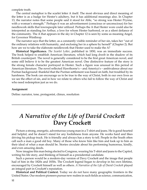complete truth.

The central metaphor is the scarlet letter A itself. The most obvious and direct meaning of the letter is as a badge for Hester's adultery, but it has additional meanings also. In Chapter 13, the narrator notes that some people said it stood for Able, "so strong was Hester Prynne, with a woman's strength." Perhaps it was an advertisement (conscious or unconscious) for her needlework skills that townspeople later utilized. Perhaps the A that Hester wore could also be interpreted as standing for Arthur, a love for whom Hester harbored, or as a silent defiance of the community. The A that appears in the sky in Chapter 12 is seen by some as meaning Angel, for Governor Winthrop.

The narrator says that the letter, as a constantly visible reminder of her sin, takes her "out of the ordinary relations with humanity, and enclosing her in a sphere by herself" (Chapter 2). But how are we to take the elaborate needlework that Hester used to make the A?

**Historical Significance.** *The Scarlet Letter*, published in 1850, was an immediate success. The book helped to establish American literature, which had long dwelt in the shadow of its British counterpart. The novel is generally considered to be the first great American novel, and some still believe it to be the greatest American novel. One distinctive feature of the story is the strong female character portrayed in Hester. Such a figure was unusual in this period of American literature. The novel reflected Hawthorne's*—*and America's*—*ambivalence about our Puritan background: thankful that the Puritan settlement was based on faith, but troubled by its harshness. The book can encourage us to be true to the way of Christ, both in our own lives as we see the effect of sin, and in how we relate to others who fail to follow the way of Christ and who need redemption just as we do.

#### **Assignment**

Define: narrator, tone, protagonist, climax, resolution

# *A Narrative of the Life of David Crockett* **Davy Crockett**

Picture a strong, energetic, adventurous young man in a T-shirt and jeans. He is good-hearted and helpful, and he doesn't stand for any foolishness from anyone. He works hard and likes driving his pickup truck. He is friendly and always has a story to tell. People in the South often call such a man a good old boy. Many of those who know him like him and look up to him as their ideal of what a man should be. Stories circulate about his performing humorous, kindly, and even amazing deeds.

Now imagine this man being elected to Congress, wearing his T-shirt and jeans to the Capitol, writing his life story, and thinking of himself as a presidential candidate.

Such a person would be a modern-day version of Davy Crockett and the image that people had of him in the 1820s and 1830s. The Crockett legend began to develop in his own lifetime, encouraged by Crockett himself as well as others. *A Narrative of the Life of David Crockett* played an integral part in Crockett's reputation.

**Historical and Political Context.** Today we do not have many geographic frontiers in the United States. Our modern pioneers pursue new realms in such fields as science, communication,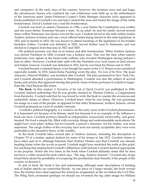and computers. In the early days of the country, however, the frontiers were real and huge; the adventurous heroes who explored the vast wilderness were held up as the embodiment of the American spirit. James Fenimore Cooper's Natty Bumppo character (who appeared in books published in Crockett's era and later) carried this aura and fueled the image of the noble frontiersman. David Crockett was a real-life frontiersman.

Crockett was born in eastern Tennessee in 1786, a year before the Constitution was written and ten years before Tennessee became a state. As an adult, he and his family moved several times within Tennessee, but always toward the west. Crockett served in the state militia (under Andrew Jackson at times) and was a local official before being elected to the state legislature in 1821 and re-elected in 1823. He was known to attend meetings of the legislature in his frontier buckskin clothes. Crockett was defeated in 1825, moved further west in Tennessee, and was elected to Congress from that area in 1827 and 1829.

His political persona was that of an honest and able frontiersman. When Andrew Jackson was elected President in 1828, Crockett was a Jackson man. This was the time when eastern politicians were aghast at the backwoods ruffians who invaded Washington during Jackson's time in office. However, Crockett later split with the President over such issues as land reform and Indian removal. Crockett was defeated in 1831, but he won back his House seat in 1833.

Crockett became a national figure, even though his career in the U.S. House is not considered especially notable. In 1831, James Kirke Paulding wrote the play, *The Lion of the West*. The main character, Nimrod Wildfire, was modeled after Crockett. The play premiered in New York City, and Crockett attended a performance in Washington. Crockett was also the subject of several books and articles that appeared during this period. Some of these portrayed Crockett in largerthan-life, Paul Bunyan-like terms.

**The Book.** In this context *A Narrative of the Life of David Crockett* was published in 1834. Crockett claimed authorship; but he was greatly assisted by Thomas Chilton, a Congressman from Kentucky. Crockett said that he was forced to write the book to counter the erroneous and outlandish claims of others. However, Crockett knew what he was doing. He was grooming his image as a man of the people, as opposed to that other Tennessean, Andrew Jackson, whom Crockett portrayed as a tool of wealthy interests.

 Crockett's political biography is a window on the early years of the Crockett phenomenon. It is important not because of its literary merit but because it is an example of the influence a book can have. Crockett portrays himself as independent, resourceful, trustworthy, and goodhearted. He lived a simple life, filled with everyday things and understandable motivations. He might have worn plain clothes; but to Crockett, a person's character, not his clothes, was most important. The rough clothes of the everyday man were not merely acceptable; they were even preferable to the deceptive finery of the wealthy.

In the book Crockett takes several jabs at Andrew Jackson, including the description in Chapter VI of a mutiny against Jackson by some of his troops in late 1813. Crockett claims to have taken part in it, although historian Paul Andrew Hutton says that Crockett was already heading home when the revolt occurred. Crockett might have stretched the truth at this point, but anything that emphasized Crockett's differences with Jackson Crockett deemed appropriate to his purpose. Notice the two times in the book when Crockett defiantly states that he does not have a collar around his neck which says, "My dog. Andrew Jackson." Crockett also drops broad hints about the possibility of occupying the presidential chair himself, if the people of the country so desired it.

In and of itself, the book is fun and entertaining, although some descriptions of hunting and of Indian attacks are somewhat bloody. As one piece of a larger mosaic, the book reveals how the frontier hero ideal captured the American imagination in the era before the Civil War. The Whig Party promoted (perhaps we should say invented) the log cabin image for William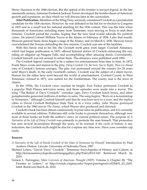Henry Harrison in the 1840 election. But the appeal of the frontier is not just legend. In the late nineteenth century, historian Frederick Jackson Turner developed the frontier thesis of American growth and expansion, an idea which we will discuss later in the curriculum.

**After Publication.** Members of the Whig Party seriously considered Crockett as a presidential candidate for the 1836 election. However, he was defeated in his bid for re-election to Congress in 1835 and as a result lost his national standing for the 1836 contest. This was the time when thousands of Americans, including many from Tennessee, were moving to Texas to seek their fortunes. Crockett joined the exodus, hoping that the new land would rekindle his political career. He joined Colonel William Travis at the Alamo in February of 1836. Later that month, Mexican general Santa Anna began a siege of the Alamo; and on March 6, 1836, Mexican forces overwhelmed the Texians defending the tiny mission. Crockett was one of the fatalities.

With this heroic end to his life, the Crockett myth grew even larger. Crockett Almanacs, which had begun publication in 1835, offered fictional stories of Crockett unfreezing the sun, riding an alligator up Niagara Falls, and accomplishing other amazing deeds. Conveniently, Crockett himself was not around to refute them. The almanacs were published until 1856.

The Crockett legend continued to be a subject for entertainment from time to time. In 1872, Frank Mayo wrote and starred in the play, *Davy Crockett: Or, Be Sure You're Right, Then Go Ahead*  (one of Crockett's famous sayings). The play was performed around the country for 24 years until Mayo's death. In the early twentieth century, Crockett was the subject of a silent movie. Honors for the fallen hero went beyond the world of entertainment. Crockett County in West Tennessee, formed in 1871, was named for the frontiersman. The county seat is the town of Alamo.

In the 1950s, the Crockett craze reached its height. Fess Parker portrayed Crockett in a popular Walt Disney television series, and those episodes were made into a movie. The song "The Ballad of Davy Crockett," coonskin caps, Davy Crockett lunch boxes, and other paraphernalia generated millions of dollars in sales. The song begins, "Born on a mountaintop in Tennessee," although Crockett himself said that he was born next to a river, and the replica cabin in David Crockett Birthplace State Park is in a river valley. John Wayne portrayed Crockett in the 1960 movie *The Alamo*, which Wayne also produced and directed.

Crockett's book has been almost continuously in print since its publication, and it is currently available in several editions. Politicians still write books to promote themselves, although now most of those books set forth the author's views on current political issues. The purpose of *A Narrative of the Life of Davy Crockett* was primarily to promote the man himself. That promotion has seen several incarnations through the years, so be warned: if the cycle of history is any indication, the Crockett myth might be due for a reprise any time now. Have your coonskin cap ready.

#### **Sources:**

- *A Narrative of the Life of David Crockett of the State of Tennessee by Himself.* Introduction by Paul Andrew Hutton. Lincoln: University of Nebraska Press, 1987.
- Michael Lofaro, "David 'Davy' Crockett." Tennessee Encyclopedia of History and Culture, at http://tennesseeencyclopedia.net/imagegallery.php?EntryID=C165. Retrieved March 26, 2010.
- Vernon L. Parrington, *Main Currents of American Thought* (1927). Volume 2, Chapter III, "The Frontier in Letters," at http://xroads.virginia.edu/~hyper/parrington/vol2/bk01\_03\_ch03. html. Retrieved March 26, 2010.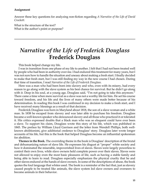#### **Assignment**

Answer these key questions for analyzing non-fiction regarding *A Narrative of the Life of David Crockett*:

What is the structure of the text? What is the author's point or purpose?

### *Narrative of the Life of Frederick Douglass* **Frederick Douglass**

This book helped change my life.

I was in transition from one phase of my life to another. I felt that I had not been treated well by people who had been in authority over me. I had endured this treatment for many years, but I was not sure how to handle the situation and uneasy about making a fresh start. I finally decided to make that fresh start, but I was still finding my way in the new course I had chosen. During that time of transition, I read *Narrative of the Life of Frederick Douglass*.

Here was a man who had been born into slavery and who, even with its misery, had every reason to go along with the slave system as his best chance for survival. But he didn't go along with it. Deep in his soul, at a young age, Douglass said, "I'm not going to take this anymore." There came a time when mere survival as a slave was not a worthy life for him. He set his course toward freedom, and his life and the lives of many others were made better because of his determination. In reading this book I was confirmed in my decision to make a fresh start, and I have received many blessings as a result of that decision.

Frederick Douglass was born in Maryland about 1818, the son of a slave woman and a white man. In 1838 he escaped from slavery and was later able to purchase his freedom. Douglass became a well-known speaker who denounced slavery and all those who practiced it or tolerated it. His critics expressed doubts that a black man who was so eloquent could have ever been a slave. To support his claim, Douglass wrote this story of his life, which was published in 1845. The preface by William Lloyd Garrison and the letter from Wendell Phillips, both wellknown abolitionists, give additional credence to Douglass' story. Douglass later wrote longer accounts of his life, but this is the book that helped Douglass become an influential spokesman for abolition.

**Themes in the Book.** The overriding theme in the book is Douglass' description of the brutal and dehumanizing nature of slave life. He expresses his disgust at "proper" white society and how it dominated the miserable, impoverished lives of slaves. Slaves were largely powerless to control their own lives, while slave owners held complete power over their slaves. Slaves were not allowed to enjoy even the most basic pleasures of life, such as having a stable family and being able to learn to read. Douglass especially emphasizes the physical cruelty that he and other slaves endured at the hands of slave owners. In some of the descriptions of abuse, the book quotes the foul language that whites used. The book is a reminder of the fact that, just as slavery caused people to be treated like animals, the slave system led slave owners and overseers to become animals in their behavior.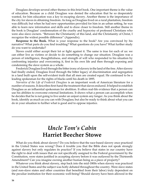Douglass develops several other themes in this brief book. One important theme is the value of education. Because as a child Douglass was denied the education that he so desperately wanted, for him education was a key to escaping slavery. Another theme is the importance of the city for slaves in obtaining freedom. As long as Douglass lived on a rural plantation, freedom was difficult; but when he had new opportunities provided for him in an urban setting, he was able to learn new information and skills and to draw closer to freedom. Still another theme in the book is Douglass' condemnation of the cruelty and hypocrisy of professed Christians who were also slave owners. "Between the Christianity of this land, and the Christianity of Christ, I recognize the widest possible difference" (Appendix).

**Response to the Book.** What is your response to the book? Are you convinced by his narrative? What parts do you find troubling? What questions do you have? What further study do you want to undertake?

Slaves could either accept their lot or fight against it. The same is true for each of us: we can either live as victims or decide to do something to change our situation. Douglass was a person of intelligence, thoughtfulness, and strength of will who responded to his situation by confronting injustice and overcoming it, first in his own life and then through exposing and condemning the slave system as a whole.

Frederick Douglass lived through the bitter irony of slavery in the land of the free. After slavery had finally ended, Douglass lived through the bitter legacy of discrimination and segregation in a land built upon the self-evident truth that all men are created equal. He continued to be a leading spokesman for the rights of blacks until his death in 1895.

*Narrative of the Life of Frederick Douglass* is an important work of American literature for a number of reasons. It describes first-hand the treatment that slaves endured. It helped to establish Douglass as an influential spokesman for abolition. It offers real-life evidence that a person can use his abilities to overcome external limitations. It shows what a person can accomplish when he decides that he is not going to live under an unjust system any longer. As you think about the book, identify as much as you can with Douglass; but also be ready to think about what you can do in your situation to further what is good and to oppose injustice.

### *Uncle Tom's Cabin* **Harriet Beecher Stowe**

What do you think about slavery? Do you believe that the race-based slavery once practiced in the United States was wrong? Does it trouble you that the Bible does not speak strongly against slavery but only regulates its practice? If you believe that states in our country have the right to deal with issues that are not specifically assigned to the Federal government by the Constitution, were states justified in accepting slavery before it was outlawed by the Thirteenth Amendment? Can you imagine owning another human being as a piece of property?

Whatever you think about slavery, step back into the mid-1800s when slavery was practiced in the United States and the subject was hotly debated throughout the country. Were slave states (and non-slave states and other countries that benefited from their labor) truly dependent on the peculiar institution for their economic well-being? Should slavery have been allowed in the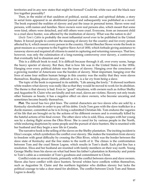territories and in any new states that might be formed? Could the white race and the black race live together peaceably?

Then, in the midst of that cauldron of political, social, moral, and spiritual debate, a story in serial form appeared in an abolitionist journal and subsequently was published as a novel. The book exposed the realities of slavery and put the issue in personal terms. Slaves were real persons, with names and families. Slave owners were real persons also, which meant that some were kind, others were detached, and still others were cruel. Everyone, from an innocent child to a cruel slave hunter, was affected by the institution of slavery. What was the nation to do?

*Uncle Tom's Cabin* is probably the most influential novel ever to be published in the United States. It forced people to confront the meaning of slavery for the country and for every person affected by it, which meant every person in the country. Harriet Beecher Stowe wrote the book in great measure as a response to the Fugitive Slave Act of 1850, which forbade giving assistance to runaway slaves and required all citizens to assist in capturing and returning runaways. That law, however, was only the culmination of a long-running controversy over slavery, a controversy that eventually led to disunion and war.

This is a difficult book to read. It is difficult because through it all, over every scene, hangs the heavy specter of slavery. But then, that is how life was in the United States in the 1850s. Hanging over every political debate was the issue of slavery. Hanging over the conscience of a growing number of Americans was the burden of slavery. Most important, hanging over the lives of some four million human beings in this country was the reality that they were slaves themselves. Reading about slavery, difficult as it is, is a far cry from being a slave.

The topic of the book is expressed in its subtitle, "Life among the lowly." It showed northern white readers what slavery was really like so that they would be moved to work for its abolition. The theme is that slavery is bad. Even in "good" situations, with owners such as Arthur Shelby and Augustine St. Claire who are kindly and not cruel, slaves are victims. Slavery not only treats other humans as beasts; it has a negative effect on slave owners, who become uncaring and sometimes become beastly themselves.

**Plot.** The novel has two plot lines. The central characters are two slaves who are sold by a Kentucky slaveholder in order to pay off his debts. Uncle Tom goes with the slave trafficker in a docile manner, committed as he is to living a submitted Christian life. Tom endures the vagaries of his life that are brought on by the actions of his different owners and is eventually killed by the hateful actions of his final owner. The other slave who is sold, Eliza, escapes with her young son by a daring flight across the Ohio River. She is cared for by various people in the North, while enduring skepticism by some people and the pursuit of slave hunters. She is reunited with her husband and they begin a new life in Canada.

The narrative hook is the selling of the slaves on the Shelby plantation. The inciting incident is Eliza's escape, which symbolizes the conflict over slavery. She makes the transition from slavery to freedom with great difficulty by crossing the Ohio River, which was the border between the slave state of Kentucky and the free states to the north of it. The climax is the confrontation between Tom and the cruel Simon Legree, which results in Tom's death. Each plot line has a resolution. Eliza and her husband are reunited with family members on their way north. Young George Shelby frees his slaves on what had been his father's plantation in Kentucky and points to Tom's cabin as a reminder of Tom's goodness and commitment to Christ.

Conflict exists on several fronts, primarily with the conflict between slaves and slave owners. Slaves also have conflict with slave hunters. Several whites have conflicts within themselves, such as Augustine St. Claire and the northern legislator who dislikes slavery but lacks the political courage to take a clear stand for abolition. The conflict between Uncle Tom and Simon Legree is deadly.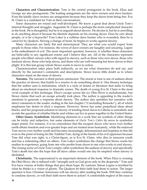**Characters and Characterization.** Tom is the central protagonist in the book. Eliza and George are also protagonists. The leading antagonists are the slave owners and slave hunters. Even the kindly slave owners are antagonists because they keep the slaves from being free. Eva St. Claire is a confidant for Tom in their conversations.

Some characters are round and well-developed. We know a great deal about Uncle Tom's internal thoughts and struggles. Augustine St. Claire is perhaps the most complicated character in the book. He is thoughtful, but he is in anguish about slavery. He decries it, but he is unwilling to do anything about it because his lifestyle depends on his owning slaves. Does he care about people, or is he a hypocrite? Tom Loker is a ruthless slave hunter who is wounded, then he is cared for by Quakers. Having a change of heart, he begins to works against slavery.

Many characters are fairly flat and stereotypical. They are what you would expect from people in those roles. For instance, the wives of slave owners are haughty and uncaring. Legree is the embodiment of evil. The more important question, however, is whether these characters are believable to any significant extent; and I believe they are. All of the characters represent people who filled various roles with regard to slavery, such as those who own slaves, those who mistreat slaves, those who help slaves, and those who are well-meaning but leave slaves in their plight. It is this last group whom Stowe wants to move to action.

Characterization takes place both indirectly, as we see what characters do and say, and directly by the narrator's comments and descriptions. Stowe leaves little doubt as to where characters stand on the issue of slavery.

**Narrator.** The narrator is third person omniscient. The mood or tone is one of sadness about the practice of slavery that builds to a resolve to do something about it. One literary technique that the author uses is melodrama, which is a style of drama or literature that seeks to bring about an emotional response to dramatic scenes. The death of young Eva St. Claire is the most vivid example of this technique. Eliza's escape across the icy Ohio River is melodramatic, but Stowe claims that such an escape actually took place. The author is appealing to the reader's emotions to generate a response about slavery. The author also sprinkles her narrative with direct comments to the reader, ending in the last chapter ("Concluding Remarks"), all of which emphasize her desire to elicit a response. However, Stowe has some prejudiced ideas about blacks; and her proposed solution to slavery of sending freed slaves to Liberia is unrealistic and avoids the question of whether blacks and whites can live in peace together in the United States.

**Other Issues. Symbolism.** Identifying elements in a work that are symbols of other things can be tricky and subjective, but some elements of *Uncle Tom's Cabin* do serve to symbolize major points. For instance, it is no coincidence that the escaped slaves who move ever further north obtain freedom and ever-greater hope and are treated more humanely, while the enslaved Tom moves ever further south and becomes increasingly dehumanized and hopeless in this life even to the point of losing his life. Faithful Tom, dying at the hands of his evil oppressor because Tom did what was right, is a Christ-figure, as is Eva St. Claire, who dies in innocent youth and has a redeeming effect on others. Tom Loker symbolizes the change that Stowe wants her readers to experience, going from one who profits from slaves to one who works to end slavery. The closing scene of Uncle Tom's empty cabin symbolizes the sadness of slavery and specifically Tom's death but also the hope that all slave cabins would one day be emptied when slavery is abolished.

**Christianity.** The supernatural is an important element of the book. When Eliza is crossing the Ohio River, she is imbued with "strength such as God gives only to the desperate." Tom and Eva have visions of better things that give them hope. By contrast, Simon Legree is terrified by what he thinks is a vision of ghosts. The Quakers let their faith lead them to action. The larger question is how Christian Americans will see slavery after reading the book. Will they continue to condone slavery, or will their faith move them to action? A comfortable neglect of the issue is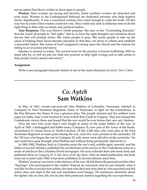not an option that Stowe wishes to leave open to people.

**Women.** Slave women are strong and decisive. Some southern women are detached and even cruel. Women in the Underground Railroad are dedicated servants who help fugitive slaves. Significantly, it was a concerned woman who cared enough to write the book. All this was true at a time when women could not vote. They could only seek to influence men to do the right thing in their roles as family and political leaders.

**Your Response.** This was Stowe's whole purpose. She says in her "Concluding Remarks" that she wants all people to "feel right," that is, to have the right thoughts and emotions about slavery that will prompt action. She wants people to pray. She wants people to take up the cause of helping freed slaves become educated so that they can move to Liberia and establish a successful nation. She warns of God's judgment coming upon the church and the nations for failing to act in justice and mercy.

Injustice is around us today. The current term for the practice is human trafficking. Will we stand idly by, or will we put our faith into practice to help right wrongs and to take action to help people receive justice and mercy?

#### **Assignment**

Write a one-paragraph character sketch of one of the main characters in *Uncle Tom's Cabin*.

### *Co. Aytch* **Sam Watkins**

In May of 1861, twenty-one-year-old Sam Watkins of Columbia, Tennessee, enlisted in Company H, First Tennessee Regiment, Army of Tennessee, to fight for the Confederacy in the War Between the States. It was a glorious time. The people cheered and the soldiers were eager for battle. Sam's unit hurried by train to Bull Run Creek in Virginia. They just missed the Confederate victory there and feared that the war would be over before they saw any Yankees.

Over the next four years Sam's unit fought in many of the major battles of the war. In April of 1865, a bedraggled and battle-weary Company H, now part of the Army of the South, surrendered to Union forces in North Carolina. Of the 3,200 men who were part of the First Tennessee Regiment at some point during the war, sixty-five were present at the surrender. Of the 120 men who began the war in Company H, only seven were still alive at the surrender. No one could have gone through what Watkins did without bring profoundly affected by it.

In 1881-1882, Watkins, back in Columbia since the war's end, middle-aged, married, and the father of several children, published his recollections of his service in the Confederate army in a series of articles in the Columbia *Herald* newspaper. He soon collected them into book form and published them as *Company H: A Side Show of the Big Show*. After its initial publication, the book went out of print until 1900. It has been published in several editions since then.

Watkins' purpose was not to write a history of the war. He left that to the generals and the other "big bugs" who participated in the conflict. Instead, he conveyed what he saw himself, what it was like for the everyday foot soldier, the men who shot and were shot at, who marched and did sentry duty and slept in the rain and sometimes went hungry. He reminisces cheerfully about the lighter side of army life, but he also feels profound sadness regarding his war experiences.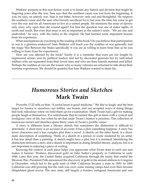Watkins' purpose in this non-fiction work is to lessen any hatred and division that might be lingering years after the war. Sam says that the southern cause was lost from the beginning. It was, he says, an unholy war. Sam is not bitter, however; only sad and thoughtful. He respects the southern cause and the men who bravely sacrificed for it, but now the time has come to get over the war and for all Americans to live as a united people. He mentions the issue of slavery only once; why open that old wound again? For him the question was one of states rights, of north and south. But even that issue is not as important as the nation's unity. "We are one and undivided," he says, with the italics in the original. He had learned some important lessons from his experience.

What assumptions do you bring to the reading of this book? Do you believe that participation in war is a glorious endeavor? Sam Watkins will teach you the realities of war generally and the tragic War Between the States specifically if you are as willing to learn from him as he was willing to learn from his experiences.

How are you affected by the book? Surely it is a reminder that wars are not fought by impersonal armies sent by political leaders and led by decorated generals but by individual soldiers who are separated from their loved ones and who see their friends maimed and killed. Perhaps the realities of war are the reason why so many veterans are reluctant to talk about their wartime experiences. We should be grateful that Sam Watkins wanted to share his.

### *Humorous Stories and Sketches* **Mark Twain**

Proverbs 17:22 tells us that, "A joyful heart is good medicine." We like to laugh, and the best target for humor is ourselves: our foibles, our boasts, and our accepted ways of doing things that look ridiculous when we hold them up for examination. Mark Twain had a gift for making people laugh at themselves. It is unfortunate that he tainted this gift at times with a cynical and irreligious view of life, but when he set that aside Twain's humor is priceless. This collection of humorous stories and sketches spans thirty years of Twain's prolific career.

A story is different from a literary sketch, but sometimes the distinction is difficult to determine. A short story is an account of an event. It has a plot; something happens. A story has fewer characters and a less complex plot than a novel. A sketch, on the other hand, is a short, static description of something. Think of a sketch of a person or scene rendered by an artist: it has less detail than a painting. A sketch might have a plot, but it is minimal. Identifying the distinction between a story and a sketch is important in doing detailed literary analysis, but it is not important in enjoying a piece of writing.

Knowing the context of each piece helps you appreciate what Twain does in each one and makes it funnier. Workers discovered gold on John Sutter's property in California in early 1848. Later that year, the United States acquired California through the treaty that ended the Mexican War. President Polk announced the discovery of gold in his annual address to Congress in December, which led to the gold rush of 1849. California became a state in 1850. In 1865 California was still growing but the rush was over; some mining camps had even then become dilapidated ghost towns. The new state, still largely a frontier, intrigued Americans and was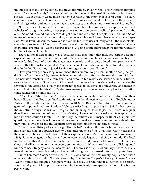the subject of many songs, stories, and travel narratives. Twain wrote "The Notorious Jumping Frog of Calaveras County" that capitalized on this interest in the West. It was his first big literary success. Twain actually wrote more than one version of the story over several years. The story combines several elements of the way that Americans viewed western life: men sitting around and telling stories, outlandish behavior, an eagerness to make bets, and one man tricking another.

"Journalism in Tennessee" is humor by exaggeration. In those days newspapers were not vehicles of straight reporting; most papers existed to promote one political party and bash the other. Some editors and publishers could get down and dirty about people they didn't like. Some names of newspapers had a funny ring; sometimes violence did erupt because of what a paper said. What Twain describes, however, is over the top. Two uses of irony are (1) the respectablesounding profession of "journalism" was in reality nothing more than hack-and-slash attacks on political enemies, as Twain describes it; and (2) going south did not help the narrator's health but in fact almost killed him.

The traditional barber shop was a peculiar male institution that included certain accepted expectations: men were served in the order they came in, sometimes a man passed on his turn to wait for his favorite barber, the magazines were old, and barbers offered more products and services that the customer wanted. Male readers of Twain's day would have found something decidedly familiar as they enjoyed Twain's exaggeration "About Barbers".

Have you ever gotten a song in your head that you can't forget? Isn't it often a song that you don't like? "A Literary Nightmare" tells of an awful, silly ditty that the narrator cannot forget. The narrator transfers it to a minister friend who, in his worst-case scenario, ruins a funeral service because he can't get it out of his head. By the way the minister speaks, he transfer the rhythm to the attendees. Finally the minister speaks to students at a university and makes it stick in their minds. In this story Twain takes an everyday occurrence and applies its frustrating consequences in a humorous way.

 "The Stolen White Elephant" turns all of the common features of detective stories on their heads. Edgar Allan Poe is credited with writing the first detective story in 1841. English author Wilkie Collins published a detective novel in 1868. By 1882 detective stories were a common genre of popular literature. Sherlock Holmes stories began appearing in 1887. In these stories the detective always has brilliant insights and amazing skills of logic. The heroes in regular detective stories are the buffoons in Twain's story. How could you steal a white elephant and hide it? Who couldn't locate it? In this story, detectives can't. Inspector Blunt asks pointless questions; other detectives ignore obvious clues and make erroneous assumptions about what they think is evidence; and the elephant turns up right under the detectives' noses.

"The Private History of a Campaign That Failed" begins with humor but ends on a much more serious note. It appeared twenty years after the end of the Civil War. Many veterans of the conflict published recollections of their experiences (*Co. Aytch* appeared in book form in 1882). Some were genuine heroes and some were merely legends in their own minds. The local militiamen in this story don't do much of anything beyond play at soldiering, except that they shoot and kill a man who isn't an enemy soldier after all. What started out as a rollicking good time becomes a tragedy, and the men realize it. The story is a picture of military service for many men at the time: cheers, bravado, and expectation of glory that turned into hardship and loss.

James Fenimore Cooper, who died in 1851, was one of the first widely popular American novelists. Mark Twain didn't understand why. "Fenimore Cooper's Literary Offenses" offers Twain's humorous critique of Cooper's work. This essay is a reminder to all writers to be careful about what you put into print. Someone might mercilessly take apart what you think is your best writing.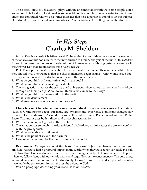The sketch "How to Tell a Story" plays with the uncomfortable truth that some people don't know how to tell a story. Twain makes some valid points about how to tell stories for maximum effect. His continued renown as a writer indicates that he is a person to attend to on this subject. Unfortunately, Twain uses demeaning African American dialect in telling one of the stories.

# *In His Steps* **Charles M. Sheldon**

*In His Steps* is a classic Christian novel. I'll be asking for your ideas on some of the elements of the analysis of this book. Refer to the introduction to literary analysis at the first of this *Student Review* if you need reminders of the definition of these elements. My suggested answers are in the Answer Key that accompanies this *Student Review*.

**Plot.** The topic is the story of a church that is transformed when its members rethink how they should live. The theme is that the church members begin asking "What would Jesus do?" in every situation, and then do that regardless of the consequences.

- 1. What do you think is the narrative hook in the book?
- 2. What do you think is the inciting incident?
- 3. The rising action involves the stories of what happens when various church members follow through on their pledge. What do you think is the climax to the story?
- 4. What do you think is the resolution in the plot?
- 5. What is the denouement?
- 6. What are some sources of conflict in the story?

**Characters and Characterization, Narration and Mood.** Some characters are stock and static (such as Grandmother Page), but many are dynamic and experience significant changes (for instance: Henry Maxwell, Alexander Powers, Edward Norman, Rachel Winslow, and Rollin Page). The author uses both indirect and direct characterization.

- 1. Who is the main protagonist in the novel?
- 2. The antagonist is somewhat harder to identify. Who do you think causes the greatest conflict with the protagonist?
- 3. What two friends are confidants?
- 4. What is the point of view of the narrator?
- 5. How would you describe the mood or tone of the book?

**Response.** *In His Steps* is a convicting book. The power of Jesus to change lives is real, and His followers have had a profound impact in the world when they have taken seriously His call to follow Him. God can do more than we can ask or imagine; only He knows what will happen when we follow Jesus with our whole hearts and regardless of the consequences. The only thing we can do is make this commitment individually, follow through on it, and support others who have made the same commitment; the results belong to God.

Write a paragraph describing your response to *In His Steps*.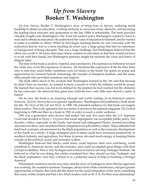### *Up from Slavery* **Booker T. Washington**

*Up from Slavery*, Booker T. Washington's story of being born in slavery, enduring much hardship to obtain an education, working tirelessly to overcome many obstacles, and becoming the leading black educator and spokesman in the late 1900s is remarkable. The book provides valuable insights into Washington's life. From his earliest years, Washington wanted to learn to read and to obtain an education. He understood the value of education for himself, and he wanted to make it available to others. When he first began teaching blacks, he was overcome with the realization that he was in a sense teaching an entire race, a large group that had no experience or background of being educated. This was a huge challenge, but Washington believed that the effort was worth it. He knew that many blacks wanted an education so that they would not have to work with their hands, but Washington patiently taught his students the value and honor of diligent labor.

The tone of the book is positive, hopeful, and conciliatory. He expresses no bitterness toward the white race or for the experience of slavery. He mentions the experience of the Ku Klux Klan only to note how much better conditions were for blacks in the South. He spares no praise and appreciation for General Samuel Armstrong, the founder of Hampton Institute, and the many other people who provided assistance and support.

The book offers much of the wisdom that Washington learned in life. He said that because he didn't have an ancestry, he wanted to leave a record of which his children would be proud. He learned that success was not to be defined by the position he had reached but the obstacles he has overcome. He observed that great men cultivate love; only little men cherish a spirit of hatred.

On its own, the book is an inspiring triumph and worth reading. In its historical context, however, *Up from Slavery* has even greater significance. Washington had published a book about his life, *The Story of My Life and Work*, in 1900. His intended audience for that book was largely black readers. This work appeared first as a series of articles in the national magazine *The Outlook*  beginning in 1900 and then as a book in 1901 in order to reach a wider audience.

1901 was a generation after slavery had ended, but only five years after the U.S. Supreme Court had decided in *Plessy v. Ferguson* that racial segregation was acceptable public policy. For decades, whites, especially in the South, had feared and subjugated blacks, resisted providing education for them, and considered them competitors for jobs held by whites. These attitudes had held back economic advancement for the black population as well as the economic development of the South as a whole. A huge untapped pool of talent could have increased productivity in southern industry and agriculture, but those in power devoted much energy to keeping blacks outside of the political, social, and economic system.

Washington believed that blacks could learn, could improve their own well-being, could contribute to American society and the economy, and could accomplish great things with their God-given abilities. This is why he began and worked so hard to develop Tuskegee Institute. He believed in what he was doing, but whites wondered how they should see him, Tuskegee, and the black population: were they a threat to or a potential source of help in building a stronger America?

Washington wanted to use his own story and the story of Tuskegee to show that his approach was working. He wanted to promote Tuskegee, attract more white contributors, and give greater opportunities to blacks. But what did this mean for the social integration of the races, something that many whites feared and that a few black leaders such as W. E. B. Du Bois were demanding?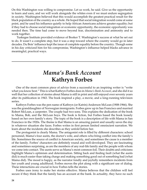On this Washington was willing to compromise. Let us work, he said. Give us the opportunity to learn and earn, and we will work alongside the whites even if we must endure segregation in society. Washington believed that this would accomplish the greatest practical result for the black population of the country as a whole. He hoped that social integration would come at some point, and he used his influence quietly to help African Americans achieve greater equality; but if they had to choose social integration or economic opportunity, the economic opportunity was needed then. The time had come to move beyond fear, discrimination and animosity and to work together.

 Tuskegee Institute provided evidence of Booker T. Washington's success at what he set out to do. It wasn't a complete step, but it was a step toward where the country would go in later decades. Du Bois' influence kept the issue of complete equality before the country. Though some in his day criticized him for his compromise, Washington's influence helped blacks advance in meaningful, practical ways.

### *Mama's Bank Account* **Kathryn Forbes**

One of the most common piece of advice from a successful to an inspiring writer is "write what you know best." This is what Kathryn Forbes does in *Mama's Bank Account*, and she did it so well that her collection of stories about Mama is still in print and still enjoyed over seventy years after its publication in 1943. The book inspired a play, a movie, and a long-running television series.

Kathryn Forbes was the pen name of Kathryn (or Katrin) Anderson McLean (1908-1966). She was the granddaughter of Norwegian immigrants. Forbes grew up in San Francisco and married Robert McLean, a carpenter. The couple had two sons. This explains the dedication of the book to Mama, Bob, and the McLean boys. The book is fiction, but Forbes based the book loosely based on her own family's story. The topic of the book is a description of life with Mama in San Francisco in the 1920s. The theme is that Mama is an amazing parent and usually saves the day in whatever situation she faces. Forbes writes in first person limited omniscient narration. We learn about the incidents she describes as they unfold before her.

The protagonist is clearly Mama. The antagonist role is filled by different characters: school personnel, Mama's four aunts, the doctor's wife, and others who bring conflict into the family's life. Sometimes the source of conflict is American society, and sometimes the cause is a member of the family. Forbes' characters are definitely round and well-developed. They are fascinating and sometimes surprising, as are the members of any real-life family and the people with whom we come into contact. The aunts serve as Mama's most common foil. Their doubts and criticisms highlight Mama's optimism and determination. Sitting back and finding fault (what the aunts did) is much easier than taking charge and making something good out of something bad (what Mama did). The mood is happy, as the narrator fondly and joyfully remembers incidents from her youth and young adulthood. Forbes moves the plot along with a significant use of dialog. These interactions are crucial in how Forbes tells the stories.

Forbes uses irony to make her stories effective. Mama believes that the children will feel secure if they think that the family has an account at the bank. In actuality, they have no such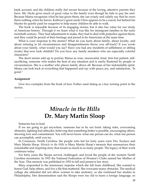bank account; and the children really feel secure because of the loving, attentive parents they have. Mr. Hyde gives much of great value to the family even though he fails to pay his rent. Because Mama recognizes what he has given them, she can wisely and calmly say that he owes them nothing when he leaves. Kathryn's great uncle Chris appears to be a rascal, but behind his bluster he quietly paid for surgeries to help many children be able to walk.

The book is enjoyable because of its engaging stories, but it also has value for our study of American history. Through it we learn what it was like for immigrant families in the early twentieth century. They had adjustments to make, they had to deal with prejudice against them, and they could be proud of their heritage and proud to be Americans at the same time.

What is your response to the stories? What do you learn about family, about loyalty, and about refusing to let circumstances and disappointments throw you off-track? If you wrote about your family, what would you say? Have you had any incidents of selfishness or sibling rivalry that now look childish? Do you have any family members who are especially colorful characters?

The short stories add up to portray Mama as wise, resourceful, kind, firm but patient, selfsacrificing, someone who makes the best of any situation and is rarely flustered by people or circumstances. She is a mother who places family above all. Because of her indomitable spirit, Mama can look back at everything that happened and say with peace, joy, and satisfaction, "Is good."

#### **Assignment**

Give two examples from the book of how Forbes used dialog as a key turning point in the stories.

### *Miracle in the Hills* **Dr. Mary Martin Sloop**

Someone has to lead.

If we are going to get anywhere, someone has to be out front: taking risks, overcoming obstacles, fighting bad attitudes, believing that something better is possible, encouraging others, showing love and commitment. You will never know what one person can do, what one person can accomplish, until you try.

In Crossnore, North Carolina, the people who led for forty years were Drs. Eustace and Mary Martin Sloop. *Miracle in the Hills* is Mary Martin Sloop's memoir that summarizes their remarkable and inspiring story that meant so much to so many people. The legacy of their work continues today.

For forty years the Sloops served, challenged, and loved the people of the western North Carolina mountains. In 1951 the National Federation of Women's Clubs named her Mother of the Year. This memoir was published in 1953 to tell and preserve her story.

Mary responded to the missionary impulse which she felt from childhood. She wanted to honor God, help others, and live a life that mattered. She overcame many obstacles. The medical college she attended did not allow women to take anatomy, so she continued her studies in Philadelphia. Her denomination said the Sloops were too old to learn a foreign language, so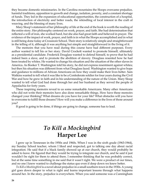they became domestic missionaries. In the Carolina mountains the Sloops overcame prejudice, harmful traditions, opposition to growth and change, isolation, poverty, and a constant shortage of funds. They led in the expansion of educational opportunities, the construction of a hospital, the introduction of electricity and better roads, the rekindling of local interest in the craft of weaving, and the blessing of many lives.

Mary Sloop's statement of her philosophy of life at the end of the book is worth the reading of the entire story. Her philosophy centered on work, prayer, and faith. She had determination that reflected a will of iron, she worked hard, but she also had great faith and believed in prayer. The evidence of the impact of work, prayer, and faith is in what the Sloops accomplished and in what is still being done today at Crossnore School. Their story is relatively simple and straightforward in the telling of it, although it was anything but simple and straightforward in the living of it.

The memoirs that you have read during this course have had different purposes. Every author wanted to tell his or her story. David Crockett wanted to promote himself, ultimately as a presidential candidate. Frederick Douglass wanted to defend himself, to prove that he had indeed been a slave, and to promote the abolition of slavery. Douglass resented how he had been treated by whites. He wanted to change his situation and the situation of the other slaves in America. As Booker T. Washington told his story, he did not express resentment against whites; but then his situation was different from what Douglass faced. Washington wanted to give hope and guidance to millions of African Americans on how they could make their lives better. Sam Watkins wanted to tell what it was like to be a Confederate soldier for four years during the Civil War and how he grew in faith and in his understanding of the nature of the Union. Mary Sloop wanted to tell what God had done through her and her husband as they served the people of Appalachia for forty years.

These inspiring memoirs reveal to us some remarkable Americans. Many other Americans who did not write their memoirs have also done remarkable things. How have these memoirs changed your thinking? What dreams do you have for your life? What obstacles will you have to overcome to fulfill those dreams? How will you make a difference in the lives of those around you?

If good is going to be done, if things are going to change, someone has to lead.

## *To Kill a Mockingbird* **Harper Lee**

I grew up in Tennessee in the 1950s and 1960s. When I was in the sixth grade (1963-1964), my Sunday School teacher, whom I liked and respected, got to talking one day about racial integration. He said that if a black family showed up at our church, they would probably be asked to leave. He figured that they would be trying to integrate our church, and he said it just wouldn't be right for them to attend there. I remember thinking that he was probably correct, but at the same time something in me said that it wasn't right. We were a product of our times, and no one I knew wanted to challenge the status quo even if deep down we knew better.

*To Kill a Mockingbird* is a novel about prejudice in a small southern town in the 1930s. A young girl goes down deeper to what is right and learns important lessons through what happens around her. In the story, prejudice is everywhere. When you said someone was a Cunningham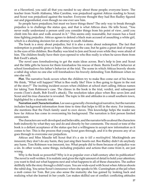or a Haverford, you said all that you needed to say about those people; everyone knew. The teacher from North Alabama, Miss Caroline, was prejudiced against Atticus reading to Scout; and Scout was prejudiced against the teacher. Everyone thought they had Boo Radley figured out and pigeonholed, even though no one ever saw him.

So people have prejudices; but must we leave things there? The only way to break through prejudice is to challenge the status quo, and that is what Atticus does. He tells Scout, "You never really understand a person until you consider things from his point of view...until you climb into his skin and walk around in it." This seems only reasonable, but reason has a hard time fighting prejudice. Atticus agrees to defend a black man accused of assaulting a white girl, which is a shocking decision for an attorney in south Alabama.

The book is a story about prejudice, but it is also a story about redemption. The fact that redemption is possible gives us hope. Atticus loses the case, but he gains a great deal of respect in the eyes of his children. Boo Radley was kind to Jem and Scout even while they were afraid of him. The children finally have their eyes opened to who Boo really is when he saves them from Bob Ewell's attack.

The novel uses foreshadowing to get the main ideas across. Boo's help to Jem and Scout and the little gifts he leaves for them foreshadow his rescue of them. Burris Ewell's behavior at school foreshadows his father's behavior at the trial. The scene in which Atticus bravely shoots a rabid dog when no one else will foreshadows his bravely defending Tom Robinson when no one else will.

**Plot.** The narrative hook occurs when the children try to make Boo come out of his house. We think, "What will happen? What is Boo really like? How is Boo going to figure in the rest of the story?" The inciting incident occurs when children at school start calling Atticus names for taking Tom Robinson's case. The climax in the book is the trial, verdict, and subsequent events (Tom's death, Bob Ewell's attack). The resolution takes place when Boo saves Jem and Scout and his true character is revealed. The topic is life and attitudes in a small southern town, highlighted by a dramatic trial.

**Narration and Characterization.** Lee uses a generally chronological narrative, but the narrator includes background information from time to time that helps to fill in the story. For instance, she mentions that the Finch family used to own slaves. This knowledge helps the reader see how far Atticus has come in overcoming his background. The narration is first person limited omniscient.

The characters are well-developed and believable, and the narrator tells us about the characters both indirectly by what they say and do and directly by her comments. The mood or tone of the book is a defiant acceptance of the status quo but a willingness to accept new information as it comes to her. This is the process that young Scout goes through, and it is the process any of us goes through to overcome our prejudices.

Atticus and Miss Maudie tell Scout that it's a sin *to kill a mockingbird*. Mockingbirds are innocent; they don't do any harm, they just sing their hearts out. Boo Radley didn't do anybody any harm. Tom Robinson was innocent, too. What people did to them because of prejudice was a sin. In other words, some things, including prejudice and actions that come from it, are just wrong.

Why is the book so powerful? Why is it so popular over a half-century after its publication? The novel is well-written. It is realistic and gives the right amount of detail to hold your attention; you want to find out what happens next and what happens to all of these characters. The author skillfully tells the story through a child's eyes. You are wide-eyed with Scout when Atticus shoots the rabid dog. You sense Scout's innocence when she speaks to Mr. Cunningham at the jail when a mob comes for Tom. But you also sense the maturity she has gained by looking back and realizing what she learned in her youth. Lee makes skillful use of conflict: conflicting attitudes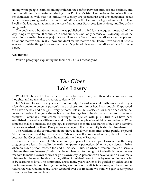among white people, conflicts among children, the conflict between attitudes and realities, and the dramatic conflicts portrayed during Tom Robinson's trial. Lee portrays the interaction of the characters so well that it is difficult to identify one protagonist and one antagonist. Scout is the leading protagonist in the book, but Atticus is the leading protagonist in her life. Tom Ewell is the leading antagonist in the story; but at times Scout sees Jem, Atticus, and Boo as her antagonists.

The book was a bombshell when it was published in 1960 for its eloquent portrayal of the way things really were. It continues to hold our hearts not only because of its description of the way things were but because prejudice is still an issue. We all have prejudices about people and situations that we don't really know and don't realize that we don't know. If we do what Atticus says and consider things from another person's point of view, our prejudices will start to come down.

#### **Assignment**

Write a paragraph explaining the theme of *To Kill a Mockingbird*.

# *The Giver* **Lois Lowry**

Wouldn't it be great to have a life with no problems, no pain, no difficult decisions, no wrong thoughts, and no mistakes or regrets to deal with?

In *The Giver*, Jonas lives in just such a community. The ordeal of childbirth is reserved for just a few designated women. A person's mate is chosen for him or her. Every couple, if approved, can have one boy and one girl. Every person's role in life is selected for him or her when that person is twelve. Everyone shares his or her feelings from the day at supper and dreams at breakfast. Potentially troublesome "stirrings" are quelled with pills. Strict rules have been established to avoid any differences and to eliminate people who might cause problems. When someone makes a mistake, the apology is automatic as is the acceptance of it. Even a family's dishes are washed for them. Everywhere else beyond the community is simply Elsewhere.

The residents of the community do not have to deal with memories, either painful or joyful. All memories are held by the Receiver. When a new Receiver is identified, the old Receiver becomes the Giver and transfers the memories to the new Receiver.

Sounds perfect, doesn't it? The community appears to be a utopia. However, as the story progresses we learn the reality beneath the apparent perfection. When a baby doesn't thrive, when an older person reaches the end of his useful life, or when a resident makes a serious mistake, they are "released," which is the euphemism for being put to death. No one has any freedom to make his own choices or go his own way. A person won't have to take risks or make mistakes; but he won't be able to excel, either. A resident cannot grow by overcoming obstacles or by learning to love. The community chose many years earlier to be guided by elders and to live in sameness; but not having memories, emotions, or conflicts takes away our basic human nature, the way God made us. When we hand over our freedom, we think we gain security; but in reality we lose so much more.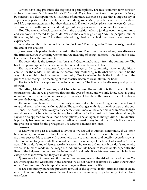Writers have long produced descriptions of perfect places. The most common term for such a place comes from Sir Thomas More's 1516 novel *Utopia*, from the Greek for no place. *The Giver*, by contrast, is a dystopian novel. This kind of literature describes a place that is supposedly or superficially perfect but in reality is evil and dangerous. Many people have tried to establish real-life utopian settlements, but they always fail. The only perfect place is in heaven. On earth, we have to deal with problems and failings; but doing so can help us prepare for heaven.

**Plot.** The narrative hook comes early in the exposition when a jet flies over the community and everyone is ordered to go inside. Why is the event frightening? Are the people afraid of it? Are they hiding from it? Are they ordered to go inside to shield them from new ideas and experiences?

What do you think is the book's inciting incident? The rising action? See the assignment at the end of this analysis.

Jonas' new role predominates the rest of the book. The climax comes when Jonas discovers the truth about the Nurturing Center and the meaning of being "released." He decides to take Gabriel and leave the community.

The resolution is the journey that Jonas and Gabriel make away from the community. The brief last paragraph is the denouement, but what it describes is not clear.

The main conflict is between Jonas and the ways of the community. Another significant conflict for the reader is the life in the community conflicting with what we believe to be the way things ought to be in a human community. One foreshadowing is the introduction of the practice of releasing. The meaning of that practice becomes clear later in the book.

The topic is life in a supposedly perfect community. The theme is the discovery and pursuit of truth.

**Narration, Mood, Characters, and Characterization.** The narration is third person limited omniscience. The story is presented through the eyes of Jonas, and we only know what is going on in his mind. The narration is basically chronological, but the author uses frequent flashbacks to provide background information.

The mood is ambivalent. The community seems perfect, but something about it is not right to us and eventually is not to Jonas either. The tone changes with his dramatic escape at the end.

Jonas, the protagonist, is a dynamic character; but most of the other main characters, though round, are static. Characterization takes place indirectly for the most part (through what people say or do as opposed to the author's descriptions). The antagonist, though difficult to identify, is probably best seen as the community itself as opposed to any individual. This is the source of the greatest conflict for the protagonist. *The Giver* is a mentor for Jonas.

#### **Lessons.**

1) Knowing the past is essential to living as we should in human community. If we don't have memory and a knowledge of history, we miss much of the richness of human life and we are more susceptible to those with power who want to manipulate and possibly even destroy us. The motivation for Jews and others who keep alive the memory of the Nazi Holocaust is, "Never again." If we don't know history, we don't know who we are as humans. If we don't know who we are as humans made in the image of God, human life becomes less valuable, especially the lives of the helpless: the unborn, the infant, and the elderly. If society ever sees people in those categories as inconvenient, they are in danger.

2) We cannot shut ourselves off from our humanness, even at the risk of pain and failure. We are interdependent; we can grow and change; we do not have to be limited by what others think of us. The community's attempt at a better life gave them less of a life.

3) The community makes no provision for God or the spiritual realm. Humans cannot create a perfect community on our own. We can learn and grow in many ways, but only God can truly transform.